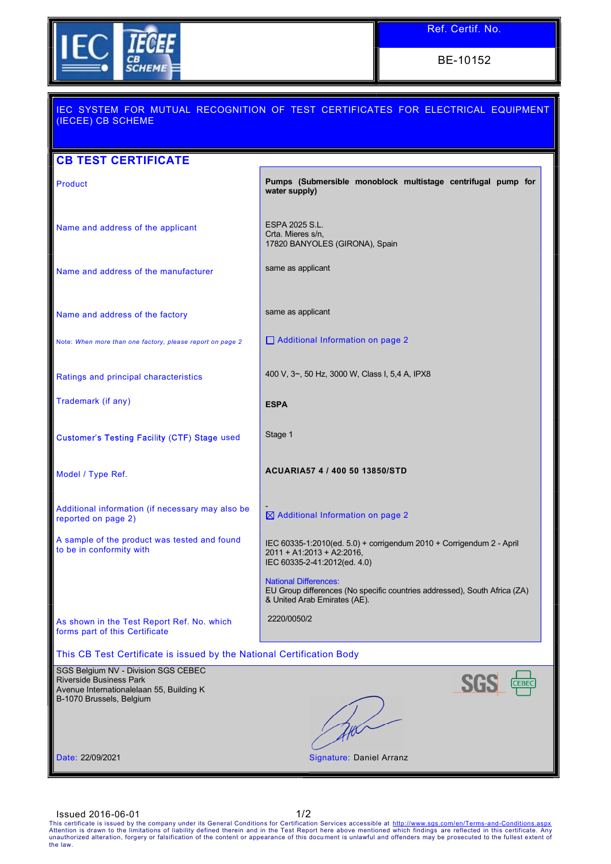

BE-10152

| (IECEE) CB SCHEME                                                                                                                             | IEC SYSTEM FOR MUTUAL RECOGNITION OF TEST CERTIFICATES FOR ELECTRICAL EQUIPMENT                                                           |
|-----------------------------------------------------------------------------------------------------------------------------------------------|-------------------------------------------------------------------------------------------------------------------------------------------|
| <b>CB TEST CERTIFICATE</b>                                                                                                                    |                                                                                                                                           |
| Product                                                                                                                                       | Pumps (Submersible monoblock multistage centrifugal pump for<br>water supply)                                                             |
| Name and address of the applicant                                                                                                             | ESPA 2025 S.L.<br>Crta. Mieres s/n,<br>17820 BANYOLES (GIRONA), Spain                                                                     |
| Name and address of the manufacturer                                                                                                          | same as applicant                                                                                                                         |
| Name and address of the factory                                                                                                               | same as applicant                                                                                                                         |
| Note: When more than one factory, please report on page 2                                                                                     | Additional Information on page 2                                                                                                          |
| Ratings and principal characteristics                                                                                                         | 400 V, 3~, 50 Hz, 3000 W, Class I, 5,4 A, IPX8                                                                                            |
| Trademark (if any)                                                                                                                            | <b>ESPA</b>                                                                                                                               |
| Customer's Testing Facility (CTF) Stage used                                                                                                  | Stage 1                                                                                                                                   |
| Model / Type Ref.                                                                                                                             | ACUARIA57 4 / 400 50 13850/STD                                                                                                            |
| Additional information (if necessary may also be<br>reported on page 2)                                                                       | $\boxtimes$ Additional Information on page 2                                                                                              |
| A sample of the product was tested and found<br>to be in conformity with                                                                      | IEC 60335-1:2010(ed. 5.0) + corrigendum 2010 + Corrigendum 2 - April<br>2011 + A1:2013 + A2:2016,<br>IEC 60335-2-41:2012(ed. 4.0)         |
|                                                                                                                                               | <b>National Differences:</b><br>EU Group differences (No specific countries addressed), South Africa (ZA)<br>& United Arab Emirates (AE). |
| As shown in the Test Report Ref. No. which<br>forms part of this Certificate                                                                  | 2220/0050/2                                                                                                                               |
| This CB Test Certificate is issued by the National Certification Body                                                                         |                                                                                                                                           |
| SGS Belgium NV - Division SGS CEBEC<br><b>Riverside Business Park</b><br>Avenue Internationalelaan 55, Building K<br>B-1070 Brussels, Belgium | CEBEC                                                                                                                                     |
| Date: 22/09/2021                                                                                                                              | Signature: Daniel Arranz                                                                                                                  |

ISSUED 2016-06-01<br>This certificate is issued by the company under its General Conditions for Certification Services accessible at http://www.sgs.com/en/Terms-and-Conditions.aspx<br>Attention is drawn to the limitations of lia